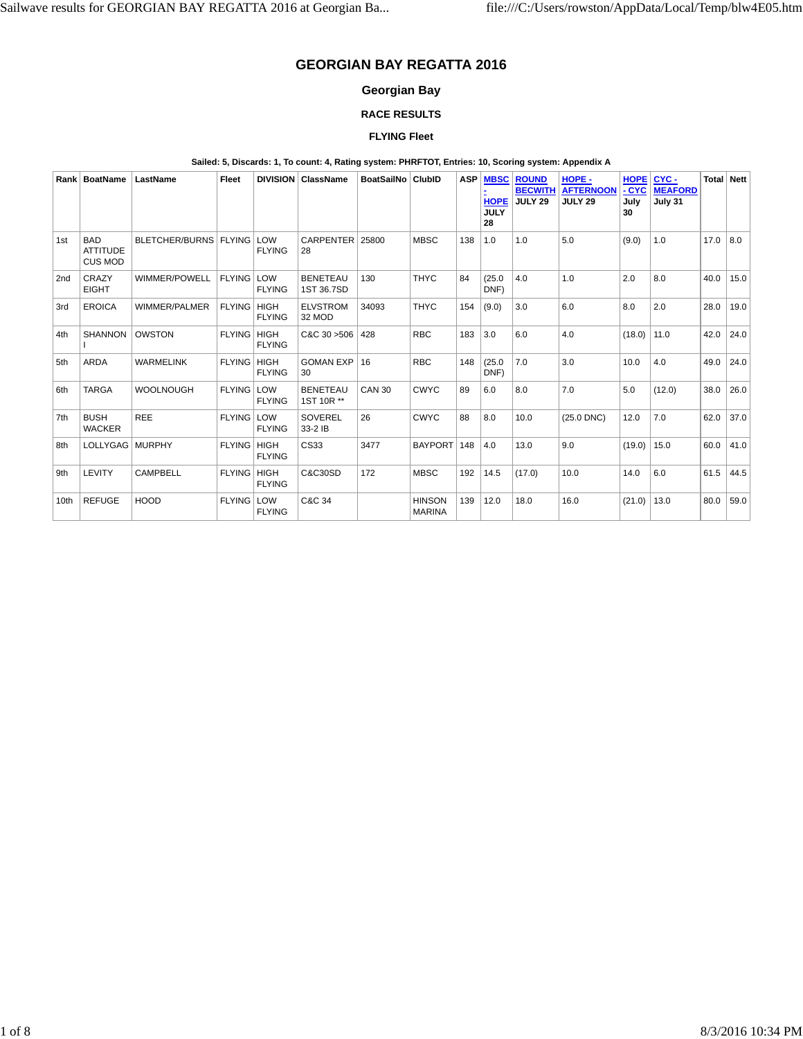# **GEORGIAN BAY REGATTA 2016**

## **Georgian Bay**

## **RACE RESULTS**

## **FLYING Fleet**

#### **Sailed: 5, Discards: 1, To count: 4, Rating system: PHRFTOT, Entries: 10, Scoring system: Appendix A**

|      | Rank   BoatName                                 | LastName                | Fleet         | <b>DIVISION</b>              | <b>ClassName</b>              | <b>BoatSailNo</b> | <b>ClubID</b>                  | <b>ASP</b> | <b>MBSC</b><br><b>HOPE</b><br><b>JULY</b><br>28 | <b>ROUND</b><br><b>BECWITH</b><br><b>JULY 29</b> | HOPE-<br><b>AFTERNOON</b><br><b>JULY 29</b> | <b>HOPE</b><br><b>CYC</b><br>July<br>30 | CYC-<br><b>MEAFORD</b><br>July 31 |      | Total Nett |
|------|-------------------------------------------------|-------------------------|---------------|------------------------------|-------------------------------|-------------------|--------------------------------|------------|-------------------------------------------------|--------------------------------------------------|---------------------------------------------|-----------------------------------------|-----------------------------------|------|------------|
| 1st  | <b>BAD</b><br><b>ATTITUDE</b><br><b>CUS MOD</b> | BLETCHER/BURNS   FLYING |               | LOW<br><b>FLYING</b>         | <b>CARPENTER</b><br>28        | 25800             | <b>MBSC</b>                    | 138        | 1.0                                             | 1.0                                              | 5.0                                         | (9.0)                                   | 1.0                               | 17.0 | 8.0        |
| 2nd  | CRAZY<br><b>EIGHT</b>                           | WIMMER/POWELL           | <b>FLYING</b> | LOW<br><b>FLYING</b>         | <b>BENETEAU</b><br>1ST 36.7SD | 130               | <b>THYC</b>                    | 84         | (25.0)<br>DNF)                                  | 4.0                                              | 1.0                                         | 2.0                                     | 8.0                               | 40.0 | 15.0       |
| 3rd  | <b>EROICA</b>                                   | WIMMER/PALMER           | <b>FLYING</b> | <b>HIGH</b><br><b>FLYING</b> | <b>ELVSTROM</b><br>32 MOD     | 34093             | <b>THYC</b>                    | 154        | (9.0)                                           | 3.0                                              | 6.0                                         | 8.0                                     | 2.0                               | 28.0 | 19.0       |
| 4th  | <b>SHANNON</b>                                  | <b>OWSTON</b>           | <b>FLYING</b> | <b>HIGH</b><br><b>FLYING</b> | C&C 30 > 506                  | 428               | <b>RBC</b>                     | 183        | 3.0                                             | 6.0                                              | 4.0                                         | (18.0)                                  | 11.0                              | 42.0 | 24.0       |
| 5th  | <b>ARDA</b>                                     | <b>WARMELINK</b>        | <b>FLYING</b> | <b>HIGH</b><br><b>FLYING</b> | <b>GOMAN EXP</b><br>30        | 16                | <b>RBC</b>                     | 148        | (25.0)<br>DNF)                                  | 7.0                                              | 3.0                                         | 10.0                                    | 4.0                               | 49.0 | 24.0       |
| 6th  | <b>TARGA</b>                                    | <b>WOOLNOUGH</b>        | <b>FLYING</b> | LOW<br><b>FLYING</b>         | <b>BENETEAU</b><br>1ST 10R ** | <b>CAN 30</b>     | <b>CWYC</b>                    | 89         | 6.0                                             | 8.0                                              | 7.0                                         | 5.0                                     | (12.0)                            | 38.0 | 26.0       |
| 7th  | <b>BUSH</b><br><b>WACKER</b>                    | <b>REE</b>              | <b>FLYING</b> | LOW<br><b>FLYING</b>         | <b>SOVEREL</b><br>33-2 IB     | 26                | <b>CWYC</b>                    | 88         | 8.0                                             | 10.0                                             | $(25.0$ DNC)                                | 12.0                                    | 7.0                               | 62.0 | 37.0       |
| 8th  | LOLLYGAG   MURPHY                               |                         | <b>FLYING</b> | <b>HIGH</b><br><b>FLYING</b> | CS33                          | 3477              | <b>BAYPORT</b>                 | 148        | 4.0                                             | 13.0                                             | 9.0                                         | (19.0)                                  | 15.0                              | 60.0 | 41.0       |
| 9th  | <b>LEVITY</b>                                   | <b>CAMPBELL</b>         | <b>FLYING</b> | <b>HIGH</b><br><b>FLYING</b> | <b>C&amp;C30SD</b>            | 172               | <b>MBSC</b>                    | 192        | 14.5                                            | (17.0)                                           | 10.0                                        | 14.0                                    | 6.0                               | 61.5 | 44.5       |
| 10th | <b>REFUGE</b>                                   | <b>HOOD</b>             | <b>FLYING</b> | LOW<br><b>FLYING</b>         | C&C 34                        |                   | <b>HINSON</b><br><b>MARINA</b> | 139        | 12.0                                            | 18.0                                             | 16.0                                        | (21.0)                                  | 13.0                              | 80.0 | 59.0       |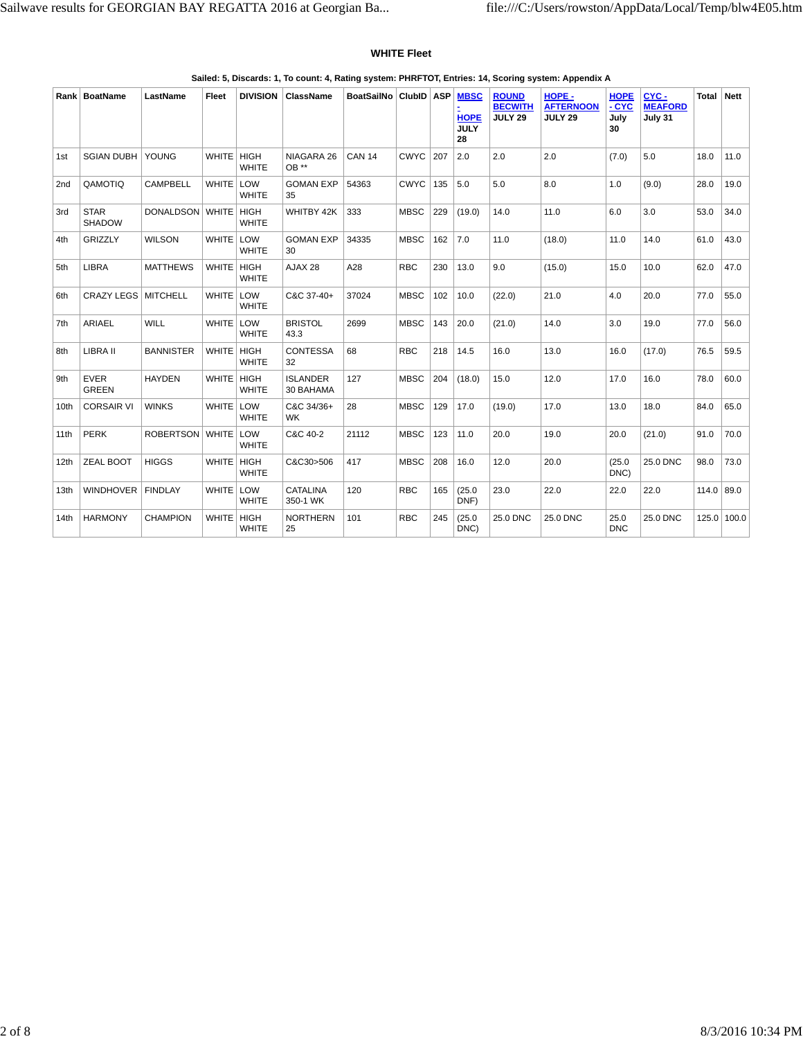#### **WHITE Fleet**

|                 | Rank   BoatName              | LastName         | Fleet        | <b>DIVISION</b>      | ClassName                    | BoatSailNo    | ClubID ASP  |     | <b>MBSC</b><br><b>HOPE</b><br><b>JULY</b><br>28 | <b>ROUND</b><br><b>BECWITH</b><br><b>JULY 29</b> | HOPE-<br><b>AFTERNOON</b><br><b>JULY 29</b> | <b>HOPE</b><br>- CYC<br>July<br>30 | CYC-<br><b>MEAFORD</b><br>July 31 | <b>Total</b> | Nett        |
|-----------------|------------------------------|------------------|--------------|----------------------|------------------------------|---------------|-------------|-----|-------------------------------------------------|--------------------------------------------------|---------------------------------------------|------------------------------------|-----------------------------------|--------------|-------------|
| 1st             | <b>SGIAN DUBH</b>            | YOUNG            | WHITE HIGH   | <b>WHITE</b>         | NIAGARA 26<br>OB **          | <b>CAN 14</b> | <b>CWYC</b> | 207 | 2.0                                             | 2.0                                              | 2.0                                         | (7.0)                              | 5.0                               | 18.0         | 11.0        |
| 2 <sub>nd</sub> | QAMOTIQ                      | <b>CAMPBELL</b>  | <b>WHITE</b> | LOW<br><b>WHITE</b>  | <b>GOMAN EXP</b><br>35       | 54363         | <b>CWYC</b> | 135 | 5.0                                             | 5.0                                              | 8.0                                         | 1.0                                | (9.0)                             | 28.0         | 19.0        |
| 3rd             | <b>STAR</b><br><b>SHADOW</b> | DONALDSON WHITE  |              | HIGH<br><b>WHITE</b> | WHITBY 42K                   | 333           | <b>MBSC</b> | 229 | (19.0)                                          | 14.0                                             | 11.0                                        | 6.0                                | 3.0                               | 53.0         | 34.0        |
| 4th             | <b>GRIZZLY</b>               | <b>WILSON</b>    | WHITE LOW    | <b>WHITE</b>         | <b>GOMAN EXP</b><br>30       | 34335         | <b>MBSC</b> | 162 | 7.0                                             | 11.0                                             | (18.0)                                      | 11.0                               | 14.0                              | 61.0         | 43.0        |
| 5th             | <b>LIBRA</b>                 | <b>MATTHEWS</b>  | <b>WHITE</b> | HIGH<br><b>WHITE</b> | AJAX 28                      | A28           | <b>RBC</b>  | 230 | 13.0                                            | 9.0                                              | (15.0)                                      | 15.0                               | 10.0                              | 62.0         | 47.0        |
| 6th             | CRAZY LEGS                   | <b>MITCHELL</b>  | WHITE LOW    | <b>WHITE</b>         | C&C 37-40+                   | 37024         | <b>MBSC</b> | 102 | 10.0                                            | (22.0)                                           | 21.0                                        | 4.0                                | 20.0                              | 77.0         | 55.0        |
| 7th             | ARIAEL                       | <b>WILL</b>      | WHITE LOW    | <b>WHITE</b>         | <b>BRISTOL</b><br>43.3       | 2699          | <b>MBSC</b> | 143 | 20.0                                            | (21.0)                                           | 14.0                                        | 3.0                                | 19.0                              | 77.0         | 56.0        |
| 8th             | LIBRA II                     | <b>BANNISTER</b> | WHITE   HIGH | <b>WHITE</b>         | <b>CONTESSA</b><br>32        | 68            | <b>RBC</b>  | 218 | 14.5                                            | 16.0                                             | 13.0                                        | 16.0                               | (17.0)                            | 76.5         | 59.5        |
| 9th             | <b>EVER</b><br><b>GREEN</b>  | <b>HAYDEN</b>    | WHITE HIGH   | <b>WHITE</b>         | <b>ISLANDER</b><br>30 BAHAMA | 127           | <b>MBSC</b> | 204 | (18.0)                                          | 15.0                                             | 12.0                                        | 17.0                               | 16.0                              | 78.0         | 60.0        |
| 10th            | <b>CORSAIR VI</b>            | <b>WINKS</b>     | WHITE LOW    | <b>WHITE</b>         | C&C 34/36+<br><b>WK</b>      | 28            | <b>MBSC</b> | 129 | 17.0                                            | (19.0)                                           | 17.0                                        | 13.0                               | 18.0                              | 84.0         | 65.0        |
| 11th            | <b>PERK</b>                  | ROBERTSON WHITE  |              | LOW<br><b>WHITE</b>  | C&C 40-2                     | 21112         | <b>MBSC</b> | 123 | 11.0                                            | 20.0                                             | 19.0                                        | 20.0                               | (21.0)                            | 91.0         | 70.0        |
| 12th            | <b>ZEAL BOOT</b>             | <b>HIGGS</b>     | WHITE HIGH   | <b>WHITE</b>         | C&C30>506                    | 417           | <b>MBSC</b> | 208 | 16.0                                            | 12.0                                             | 20.0                                        | (25.0)<br>DNC)                     | 25.0 DNC                          | 98.0         | 73.0        |
| 13th            | <b>WINDHOVER</b>             | <b>FINDLAY</b>   | WHITE LOW    | <b>WHITE</b>         | <b>CATALINA</b><br>350-1 WK  | 120           | <b>RBC</b>  | 165 | (25.0)<br>DNF)                                  | 23.0                                             | 22.0                                        | 22.0                               | 22.0                              | 114.0        | 89.0        |
| 14th            | <b>HARMONY</b>               | <b>CHAMPION</b>  | <b>WHITE</b> | HIGH<br><b>WHITE</b> | <b>NORTHERN</b><br>25        | 101           | <b>RBC</b>  | 245 | (25.0)<br>DNC)                                  | 25.0 DNC                                         | 25.0 DNC                                    | 25.0<br><b>DNC</b>                 | 25.0 DNC                          |              | 125.0 100.0 |

#### **Sailed: 5, Discards: 1, To count: 4, Rating system: PHRFTOT, Entries: 14, Scoring system: Appendix A**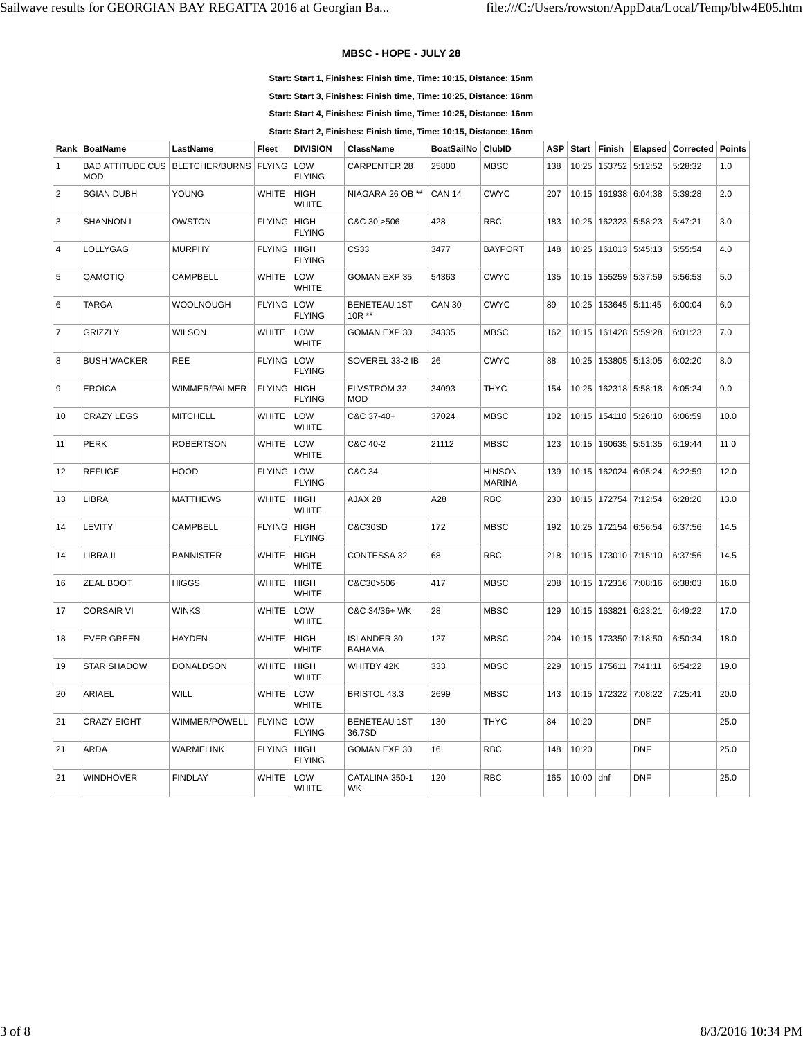#### **MBSC - HOPE - JULY 28**

**Start: Start 1, Finishes: Finish time, Time: 10:15, Distance: 15nm**

**Start: Start 3, Finishes: Finish time, Time: 10:25, Distance: 16nm**

**Start: Start 4, Finishes: Finish time, Time: 10:25, Distance: 16nm**

**Start: Start 2, Finishes: Finish time, Time: 10:15, Distance: 16nm**

| Rank           | <b>BoatName</b>                       | LastName              | Fleet                | <b>DIVISION</b>             | <b>ClassName</b>                    | <b>BoatSailNo</b> | ClubID                         | <b>ASP</b> | <b>Start</b> | Finish                   | Elapsed        | <b>Corrected Points</b> |      |
|----------------|---------------------------------------|-----------------------|----------------------|-----------------------------|-------------------------------------|-------------------|--------------------------------|------------|--------------|--------------------------|----------------|-------------------------|------|
| $\mathbf{1}$   | <b>BAD ATTITUDE CUS</b><br><b>MOD</b> | <b>BLETCHER/BURNS</b> | <b>FLYING</b>        | LOW<br><b>FLYING</b>        | <b>CARPENTER 28</b>                 | 25800             | <b>MBSC</b>                    | 138        | 10:25        |                          | 153752 5:12:52 | 5:28:32                 | 1.0  |
| $\overline{2}$ | <b>SGIAN DUBH</b>                     | <b>YOUNG</b>          | <b>WHITE</b>         | <b>HIGH</b><br><b>WHITE</b> | NIAGARA 26 OB **                    | <b>CAN 14</b>     | <b>CWYC</b>                    | 207        | 10:15        |                          | 161938 6:04:38 | 5:39:28                 | 2.0  |
| 3              | <b>SHANNON I</b>                      | <b>OWSTON</b>         | <b>FLYING   HIGH</b> | <b>FLYING</b>               | C&C 30 > 506                        | 428               | <b>RBC</b>                     | 183        | 10:25        |                          | 162323 5:58:23 | 5:47:21                 | 3.0  |
| $\overline{4}$ | LOLLYGAG                              | <b>MURPHY</b>         | FLYING   HIGH        | <b>FLYING</b>               | CS33                                | 3477              | <b>BAYPORT</b>                 | 148        | 10:25        |                          | 161013 5:45:13 | 5:55:54                 | 4.0  |
| 5              | QAMOTIQ                               | <b>CAMPBELL</b>       | <b>WHITE</b>         | LOW<br><b>WHITE</b>         | <b>GOMAN EXP 35</b>                 | 54363             | <b>CWYC</b>                    | 135        | 10:15        |                          | 155259 5:37:59 | 5:56:53                 | 5.0  |
| 6              | <b>TARGA</b>                          | <b>WOOLNOUGH</b>      | <b>FLYING</b>        | LOW<br><b>FLYING</b>        | <b>BENETEAU 1ST</b><br>10R **       | <b>CAN 30</b>     | <b>CWYC</b>                    | 89         | 10:25        |                          | 153645 5:11:45 | 6:00:04                 | 6.0  |
| $\overline{7}$ | <b>GRIZZLY</b>                        | <b>WILSON</b>         | <b>WHITE</b>         | LOW<br><b>WHITE</b>         | GOMAN EXP 30                        | 34335             | <b>MBSC</b>                    | 162        | 10:15        |                          | 161428 5:59:28 | 6:01:23                 | 7.0  |
| 8              | <b>BUSH WACKER</b>                    | <b>REE</b>            | <b>FLYING LOW</b>    | <b>FLYING</b>               | SOVEREL 33-2 IB                     | 26                | <b>CWYC</b>                    | 88         | 10:25        |                          | 153805 5:13:05 | 6:02:20                 | 8.0  |
| 9              | <b>EROICA</b>                         | WIMMER/PALMER         | <b>FLYING   HIGH</b> | <b>FLYING</b>               | ELVSTROM 32<br><b>MOD</b>           | 34093             | <b>THYC</b>                    | 154        | 10:25        |                          | 162318 5:58:18 | 6:05:24                 | 9.0  |
| 10             | <b>CRAZY LEGS</b>                     | <b>MITCHELL</b>       | <b>WHITE</b>         | LOW<br><b>WHITE</b>         | C&C 37-40+                          | 37024             | <b>MBSC</b>                    | 102        |              | 10:15   154110   5:26:10 |                | 6:06:59                 | 10.0 |
| 11             | <b>PERK</b>                           | <b>ROBERTSON</b>      | <b>WHITE</b>         | LOW<br><b>WHITE</b>         | C&C 40-2                            | 21112             | <b>MBSC</b>                    | 123        |              | 10:15   160635   5:51:35 |                | 6:19:44                 | 11.0 |
| 12             | <b>REFUGE</b>                         | <b>HOOD</b>           | <b>FLYING</b>        | LOW<br><b>FLYING</b>        | C&C 34                              |                   | <b>HINSON</b><br><b>MARINA</b> | 139        |              | 10:15   162024   6:05:24 |                | 6:22:59                 | 12.0 |
| 13             | LIBRA                                 | <b>MATTHEWS</b>       | <b>WHITE</b>         | <b>HIGH</b><br><b>WHITE</b> | AJAX 28                             | A28               | <b>RBC</b>                     | 230        |              | 10:15   172754   7:12:54 |                | 6:28:20                 | 13.0 |
| 14             | LEVITY                                | <b>CAMPBELL</b>       | <b>FLYING HIGH</b>   | <b>FLYING</b>               | C&C30SD                             | 172               | <b>MBSC</b>                    | 192        |              | 10:25   172154   6:56:54 |                | 6:37:56                 | 14.5 |
| 14             | LIBRA II                              | <b>BANNISTER</b>      | <b>WHITE</b>         | <b>HIGH</b><br><b>WHITE</b> | CONTESSA 32                         | 68                | <b>RBC</b>                     | 218        |              | 10:15   173010   7:15:10 |                | 6:37:56                 | 14.5 |
| 16             | ZEAL BOOT                             | <b>HIGGS</b>          | <b>WHITE</b>         | <b>HIGH</b><br><b>WHITE</b> | C&C30>506                           | 417               | <b>MBSC</b>                    | 208        |              | 10:15   172316   7:08:16 |                | 6:38:03                 | 16.0 |
| 17             | <b>CORSAIR VI</b>                     | <b>WINKS</b>          | <b>WHITE</b>         | LOW<br><b>WHITE</b>         | C&C 34/36+ WK                       | 28                | <b>MBSC</b>                    | 129        |              | 10:15   163821   6:23:21 |                | 6:49:22                 | 17.0 |
| 18             | <b>EVER GREEN</b>                     | <b>HAYDEN</b>         | <b>WHITE</b>         | <b>HIGH</b><br><b>WHITE</b> | <b>ISLANDER 30</b><br><b>BAHAMA</b> | 127               | <b>MBSC</b>                    | 204        |              | 10:15   173350   7:18:50 |                | 6:50:34                 | 18.0 |
| 19             | <b>STAR SHADOW</b>                    | <b>DONALDSON</b>      | <b>WHITE</b>         | <b>HIGH</b><br><b>WHITE</b> | WHITBY 42K                          | 333               | <b>MBSC</b>                    | 229        |              | 10:15   175611   7:41:11 |                | 6:54:22                 | 19.0 |
| 20             | ARIAEL                                | WILL                  | <b>WHITE</b>         | LOW<br><b>WHITE</b>         | BRISTOL 43.3                        | 2699              | <b>MBSC</b>                    | 143        |              | 10:15   172322   7:08:22 |                | 7:25:41                 | 20.0 |
| 21             | <b>CRAZY EIGHT</b>                    | WIMMER/POWELL         | <b>FLYING</b>        | LOW<br><b>FLYING</b>        | <b>BENETEAU 1ST</b><br>36.7SD       | 130               | <b>THYC</b>                    | 84         | 10:20        |                          | <b>DNF</b>     |                         | 25.0 |
| 21             | <b>ARDA</b>                           | <b>WARMELINK</b>      | <b>FLYING HIGH</b>   | <b>FLYING</b>               | <b>GOMAN EXP 30</b>                 | 16                | <b>RBC</b>                     | 148        | 10:20        |                          | <b>DNF</b>     |                         | 25.0 |
| 21             | <b>WINDHOVER</b>                      | <b>FINDLAY</b>        | <b>WHITE</b>         | LOW<br><b>WHITE</b>         | CATALINA 350-1<br><b>WK</b>         | 120               | <b>RBC</b>                     | 165        | $10:00$ dnf  |                          | <b>DNF</b>     |                         | 25.0 |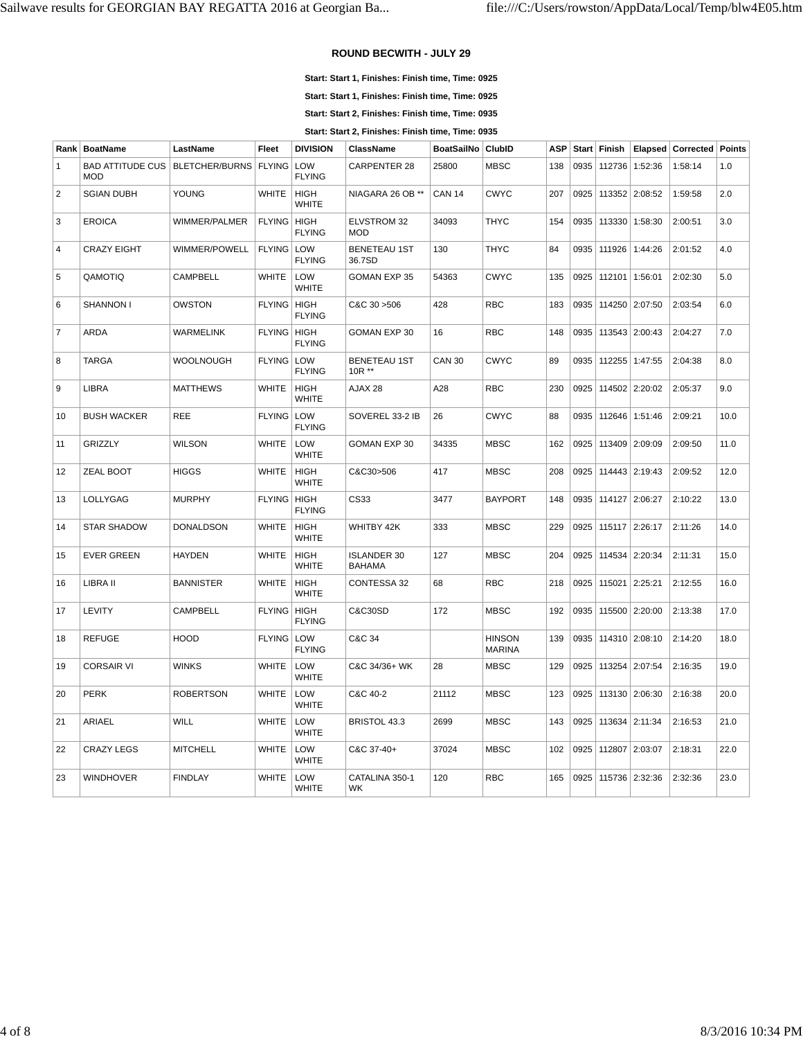## **ROUND BECWITH - JULY 29**

**Start: Start 1, Finishes: Finish time, Time: 0925**

**Start: Start 1, Finishes: Finish time, Time: 0925**

**Start: Start 2, Finishes: Finish time, Time: 0935**

**Start: Start 2, Finishes: Finish time, Time: 0935**

| Rank           | <b>BoatName</b>                       | LastName                | Fleet         | <b>DIVISION</b>              | <b>ClassName</b>                    | <b>BoatSailNo</b> | ClubID                         | <b>ASP</b> |      | Start   Finish | Elapsed        | Corrected | <b>Points</b> |
|----------------|---------------------------------------|-------------------------|---------------|------------------------------|-------------------------------------|-------------------|--------------------------------|------------|------|----------------|----------------|-----------|---------------|
| $\mathbf{1}$   | <b>BAD ATTITUDE CUS</b><br><b>MOD</b> | BLETCHER/BURNS   FLYING |               | LOW<br><b>FLYING</b>         | <b>CARPENTER 28</b>                 | 25800             | <b>MBSC</b>                    | 138        | 0935 | 112736         | 1:52:36        | 1:58:14   | 1.0           |
| $\overline{2}$ | <b>SGIAN DUBH</b>                     | <b>YOUNG</b>            | <b>WHITE</b>  | <b>HIGH</b><br><b>WHITE</b>  | NIAGARA 26 OB **                    | <b>CAN 14</b>     | <b>CWYC</b>                    | 207        | 0925 |                | 113352 2:08:52 | 1:59:58   | 2.0           |
| 3              | <b>EROICA</b>                         | WIMMER/PALMER           | <b>FLYING</b> | HIGH<br><b>FLYING</b>        | ELVSTROM 32<br><b>MOD</b>           | 34093             | <b>THYC</b>                    | 154        | 0935 | 113330         | 1:58:30        | 2:00:51   | 3.0           |
| $\overline{4}$ | <b>CRAZY EIGHT</b>                    | WIMMER/POWELL           | FLYING LOW    | <b>FLYING</b>                | <b>BENETEAU 1ST</b><br>36.7SD       | 130               | <b>THYC</b>                    | 84         | 0935 |                | 111926 1:44:26 | 2:01:52   | 4.0           |
| 5              | QAMOTIQ                               | <b>CAMPBELL</b>         | <b>WHITE</b>  | LOW<br><b>WHITE</b>          | <b>GOMAN EXP 35</b>                 | 54363             | <b>CWYC</b>                    | 135        | 0925 | 112101         | 1:56:01        | 2:02:30   | 5.0           |
| 6              | <b>SHANNON I</b>                      | OWSTON                  | <b>FLYING</b> | <b>HIGH</b><br><b>FLYING</b> | C&C 30 > 506                        | 428               | <b>RBC</b>                     | 183        | 0935 |                | 114250 2:07:50 | 2:03:54   | 6.0           |
| $\overline{7}$ | <b>ARDA</b>                           | <b>WARMELINK</b>        | <b>FLYING</b> | HIGH<br><b>FLYING</b>        | GOMAN EXP 30                        | 16                | <b>RBC</b>                     | 148        | 0935 |                | 113543 2:00:43 | 2:04:27   | 7.0           |
| 8              | <b>TARGA</b>                          | <b>WOOLNOUGH</b>        | <b>FLYING</b> | LOW<br><b>FLYING</b>         | <b>BENETEAU 1ST</b><br>$10R**$      | <b>CAN 30</b>     | <b>CWYC</b>                    | 89         | 0935 |                | 112255 1:47:55 | 2:04:38   | 8.0           |
| $9\,$          | <b>LIBRA</b>                          | <b>MATTHEWS</b>         | <b>WHITE</b>  | <b>HIGH</b><br><b>WHITE</b>  | AJAX 28                             | A28               | <b>RBC</b>                     | 230        | 0925 |                | 114502 2:20:02 | 2:05:37   | 9.0           |
| 10             | <b>BUSH WACKER</b>                    | <b>REE</b>              | FLYING LOW    | <b>FLYING</b>                | SOVEREL 33-2 IB                     | 26                | <b>CWYC</b>                    | 88         | 0935 |                | 112646 1:51:46 | 2:09:21   | 10.0          |
| 11             | <b>GRIZZLY</b>                        | <b>WILSON</b>           | <b>WHITE</b>  | LOW<br><b>WHITE</b>          | <b>GOMAN EXP 30</b>                 | 34335             | <b>MBSC</b>                    | 162        | 0925 |                | 113409 2:09:09 | 2:09:50   | 11.0          |
| 12             | <b>ZEAL BOOT</b>                      | <b>HIGGS</b>            | <b>WHITE</b>  | <b>HIGH</b><br><b>WHITE</b>  | C&C30>506                           | 417               | <b>MBSC</b>                    | 208        | 0925 |                | 114443 2:19:43 | 2:09:52   | 12.0          |
| 13             | LOLLYGAG                              | <b>MURPHY</b>           | <b>FLYING</b> | <b>HIGH</b><br><b>FLYING</b> | CS33                                | 3477              | <b>BAYPORT</b>                 | 148        | 0935 |                | 114127 2:06:27 | 2:10:22   | 13.0          |
| 14             | <b>STAR SHADOW</b>                    | <b>DONALDSON</b>        | <b>WHITE</b>  | <b>HIGH</b><br><b>WHITE</b>  | WHITBY 42K                          | 333               | <b>MBSC</b>                    | 229        | 0925 |                | 115117 2:26:17 | 2:11:26   | 14.0          |
| 15             | <b>EVER GREEN</b>                     | <b>HAYDEN</b>           | <b>WHITE</b>  | <b>HIGH</b><br><b>WHITE</b>  | <b>ISLANDER 30</b><br><b>BAHAMA</b> | 127               | <b>MBSC</b>                    | 204        | 0925 |                | 114534 2:20:34 | 2:11:31   | 15.0          |
| 16             | LIBRA II                              | <b>BANNISTER</b>        | <b>WHITE</b>  | <b>HIGH</b><br><b>WHITE</b>  | <b>CONTESSA 32</b>                  | 68                | <b>RBC</b>                     | 218        | 0925 |                | 115021 2:25:21 | 2:12:55   | 16.0          |
| 17             | <b>LEVITY</b>                         | CAMPBELL                | <b>FLYING</b> | HIGH<br><b>FLYING</b>        | C&C30SD                             | 172               | <b>MBSC</b>                    | 192        | 0935 |                | 115500 2:20:00 | 2:13:38   | 17.0          |
| 18             | <b>REFUGE</b>                         | <b>HOOD</b>             | <b>FLYING</b> | LOW<br><b>FLYING</b>         | C&C 34                              |                   | <b>HINSON</b><br><b>MARINA</b> | 139        | 0935 |                | 114310 2:08:10 | 2:14:20   | 18.0          |
| 19             | <b>CORSAIR VI</b>                     | <b>WINKS</b>            | <b>WHITE</b>  | LOW<br><b>WHITE</b>          | C&C 34/36+ WK                       | 28                | <b>MBSC</b>                    | 129        | 0925 |                | 113254 2:07:54 | 2:16:35   | 19.0          |
| 20             | <b>PERK</b>                           | <b>ROBERTSON</b>        | <b>WHITE</b>  | LOW<br><b>WHITE</b>          | C&C 40-2                            | 21112             | <b>MBSC</b>                    | 123        | 0925 |                | 113130 2:06:30 | 2:16:38   | 20.0          |
| 21             | <b>ARIAEL</b>                         | WILL                    | <b>WHITE</b>  | LOW<br><b>WHITE</b>          | BRISTOL 43.3                        | 2699              | <b>MBSC</b>                    | 143        | 0925 |                | 113634 2:11:34 | 2:16:53   | 21.0          |
| 22             | <b>CRAZY LEGS</b>                     | <b>MITCHELL</b>         | <b>WHITE</b>  | LOW<br><b>WHITE</b>          | C&C 37-40+                          | 37024             | <b>MBSC</b>                    | 102        | 0925 |                | 112807 2:03:07 | 2:18:31   | 22.0          |
| 23             | <b>WINDHOVER</b>                      | <b>FINDLAY</b>          | <b>WHITE</b>  | LOW<br><b>WHITE</b>          | CATALINA 350-1<br>WK                | 120               | <b>RBC</b>                     | 165        | 0925 |                | 115736 2:32:36 | 2:32:36   | 23.0          |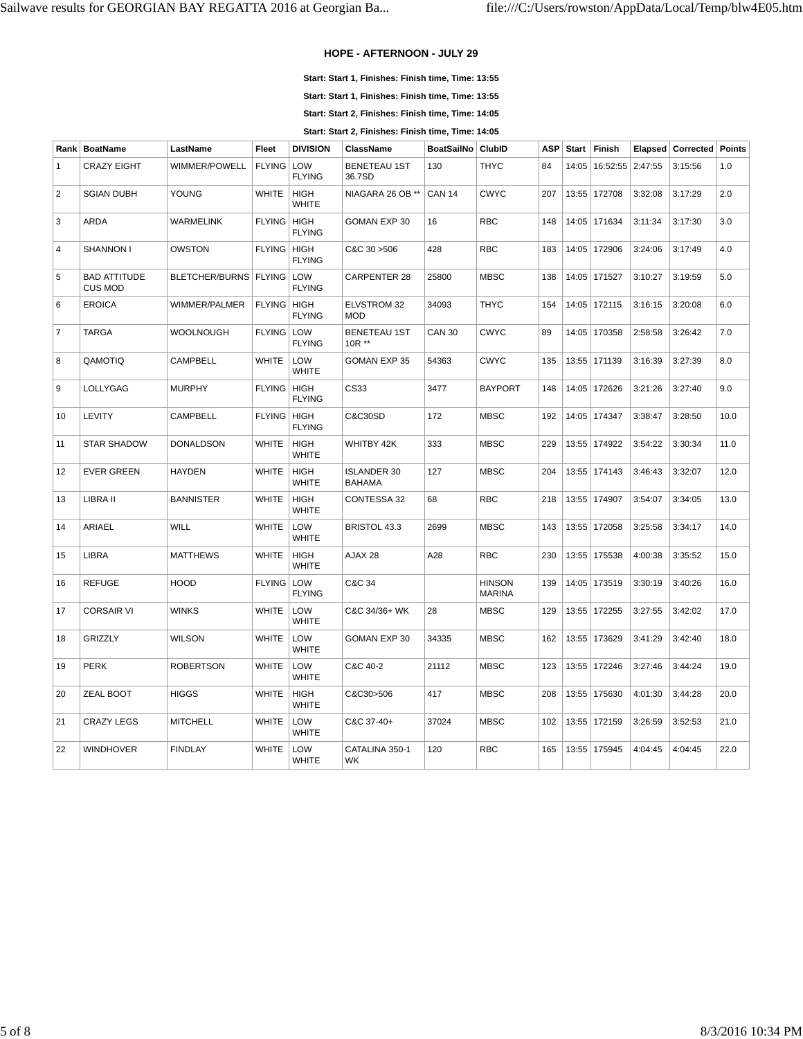## **HOPE - AFTERNOON - JULY 29**

**Start: Start 1, Finishes: Finish time, Time: 13:55**

**Start: Start 1, Finishes: Finish time, Time: 13:55**

**Start: Start 2, Finishes: Finish time, Time: 14:05**

**Start: Start 2, Finishes: Finish time, Time: 14:05**

| Rank           | <b>BoatName</b>                       | LastName                      | <b>Fleet</b>  | <b>DIVISION</b>              | <b>ClassName</b>                    | <b>BoatSailNo</b> | <b>ClubID</b>                  | <b>ASP</b> | Start | Finish           |         | Elapsed   Corrected   Points |      |
|----------------|---------------------------------------|-------------------------------|---------------|------------------------------|-------------------------------------|-------------------|--------------------------------|------------|-------|------------------|---------|------------------------------|------|
| $\mathbf{1}$   | <b>CRAZY EIGHT</b>                    | WIMMER/POWELL                 | <b>FLYING</b> | LOW<br><b>FLYING</b>         | <b>BENETEAU 1ST</b><br>36.7SD       | 130               | <b>THYC</b>                    | 84         | 14:05 | 16:52:55 2:47:55 |         | 3:15:56                      | 1.0  |
| 2              | <b>SGIAN DUBH</b>                     | YOUNG                         | <b>WHITE</b>  | <b>HIGH</b><br><b>WHITE</b>  | NIAGARA 26 OB **                    | <b>CAN 14</b>     | <b>CWYC</b>                    | 207        | 13:55 | 172708           | 3:32:08 | 3:17:29                      | 2.0  |
| 3              | <b>ARDA</b>                           | WARMELINK                     | <b>FLYING</b> | HIGH<br><b>FLYING</b>        | GOMAN EXP 30                        | 16                | <b>RBC</b>                     | 148        |       | 14:05 171634     | 3:11:34 | 3:17:30                      | 3.0  |
| $\overline{4}$ | SHANNON I                             | <b>OWSTON</b>                 | <b>FLYING</b> | <b>HIGH</b><br><b>FLYING</b> | C&C 30 > 506                        | 428               | <b>RBC</b>                     | 183        |       | 14:05 172906     | 3:24:06 | 3:17:49                      | 4.0  |
| 5              | <b>BAD ATTITUDE</b><br><b>CUS MOD</b> | BLETCHER/BURNS   FLYING   LOW |               | <b>FLYING</b>                | <b>CARPENTER 28</b>                 | 25800             | <b>MBSC</b>                    | 138        |       | 14:05 171527     | 3:10:27 | 3:19:59                      | 5.0  |
| 6              | <b>EROICA</b>                         | WIMMER/PALMER                 | FLYING HIGH   | <b>FLYING</b>                | <b>ELVSTROM 32</b><br><b>MOD</b>    | 34093             | <b>THYC</b>                    | 154        |       | 14:05   172115   | 3:16:15 | 3:20:08                      | 6.0  |
| $\overline{7}$ | <b>TARGA</b>                          | WOOLNOUGH                     | <b>FLYING</b> | LOW<br><b>FLYING</b>         | <b>BENETEAU 1ST</b><br>10R **       | <b>CAN 30</b>     | <b>CWYC</b>                    | 89         |       | 14:05   170358   | 2:58:58 | 3:26:42                      | 7.0  |
| 8              | QAMOTIQ                               | CAMPBELL                      | <b>WHITE</b>  | LOW<br><b>WHITE</b>          | <b>GOMAN EXP 35</b>                 | 54363             | <b>CWYC</b>                    | 135        |       | 13:55 171139     | 3:16:39 | 3:27:39                      | 8.0  |
| 9              | <b>LOLLYGAG</b>                       | <b>MURPHY</b>                 | <b>FLYING</b> | HIGH<br><b>FLYING</b>        | CS33                                | 3477              | <b>BAYPORT</b>                 | 148        | 14:05 | 172626           | 3:21:26 | 3:27:40                      | 9.0  |
| 10             | <b>LEVITY</b>                         | CAMPBELL                      | <b>FLYING</b> | HIGH<br><b>FLYING</b>        | C&C30SD                             | 172               | <b>MBSC</b>                    | 192        | 14:05 | 174347           | 3:38:47 | 3:28:50                      | 10.0 |
| 11             | <b>STAR SHADOW</b>                    | <b>DONALDSON</b>              | <b>WHITE</b>  | <b>HIGH</b><br><b>WHITE</b>  | WHITBY 42K                          | 333               | <b>MBSC</b>                    | 229        | 13:55 | 174922           | 3:54:22 | 3:30:34                      | 11.0 |
| 12             | <b>EVER GREEN</b>                     | <b>HAYDEN</b>                 | <b>WHITE</b>  | <b>HIGH</b><br><b>WHITE</b>  | <b>ISLANDER 30</b><br><b>BAHAMA</b> | 127               | <b>MBSC</b>                    | 204        |       | 13:55 174143     | 3:46:43 | 3:32:07                      | 12.0 |
| 13             | LIBRA II                              | <b>BANNISTER</b>              | <b>WHITE</b>  | <b>HIGH</b><br><b>WHITE</b>  | CONTESSA 32                         | 68                | <b>RBC</b>                     | 218        | 13:55 | 174907           | 3:54:07 | 3:34:05                      | 13.0 |
| 14             | <b>ARIAEL</b>                         | <b>WILL</b>                   | <b>WHITE</b>  | LOW<br>WHITE                 | BRISTOL 43.3                        | 2699              | <b>MBSC</b>                    | 143        |       | 13:55 172058     | 3:25:58 | 3:34:17                      | 14.0 |
| 15             | <b>LIBRA</b>                          | <b>MATTHEWS</b>               | <b>WHITE</b>  | <b>HIGH</b><br><b>WHITE</b>  | AJAX 28                             | A28               | <b>RBC</b>                     | 230        |       | 13:55   175538   | 4:00:38 | 3:35:52                      | 15.0 |
| 16             | <b>REFUGE</b>                         | HOOD                          | <b>FLYING</b> | LOW<br><b>FLYING</b>         | C&C 34                              |                   | <b>HINSON</b><br><b>MARINA</b> | 139        | 14:05 | 173519           | 3:30:19 | 3:40:26                      | 16.0 |
| 17             | <b>CORSAIR VI</b>                     | <b>WINKS</b>                  | <b>WHITE</b>  | LOW<br><b>WHITE</b>          | C&C 34/36+ WK                       | 28                | <b>MBSC</b>                    | 129        | 13:55 | 172255           | 3:27:55 | 3:42:02                      | 17.0 |
| 18             | <b>GRIZZLY</b>                        | WILSON                        | <b>WHITE</b>  | LOW<br><b>WHITE</b>          | GOMAN EXP 30                        | 34335             | <b>MBSC</b>                    | 162        |       | 13:55 173629     | 3:41:29 | 3:42:40                      | 18.0 |
| 19             | <b>PERK</b>                           | <b>ROBERTSON</b>              | <b>WHITE</b>  | LOW<br><b>WHITE</b>          | C&C 40-2                            | 21112             | <b>MBSC</b>                    | 123        | 13:55 | 172246           | 3:27:46 | 3:44:24                      | 19.0 |
| 20             | ZEAL BOOT                             | <b>HIGGS</b>                  | <b>WHITE</b>  | <b>HIGH</b><br><b>WHITE</b>  | C&C30>506                           | 417               | <b>MBSC</b>                    | 208        | 13:55 | 175630           | 4:01:30 | 3:44:28                      | 20.0 |
| 21             | <b>CRAZY LEGS</b>                     | <b>MITCHELL</b>               | <b>WHITE</b>  | LOW<br><b>WHITE</b>          | C&C 37-40+                          | 37024             | <b>MBSC</b>                    | 102        |       | 13:55 172159     | 3:26:59 | 3:52:53                      | 21.0 |
| 22             | <b>WINDHOVER</b>                      | <b>FINDLAY</b>                | <b>WHITE</b>  | LOW<br><b>WHITE</b>          | CATALINA 350-1<br>WК                | 120               | <b>RBC</b>                     | 165        |       | 13:55 175945     | 4:04:45 | 4:04:45                      | 22.0 |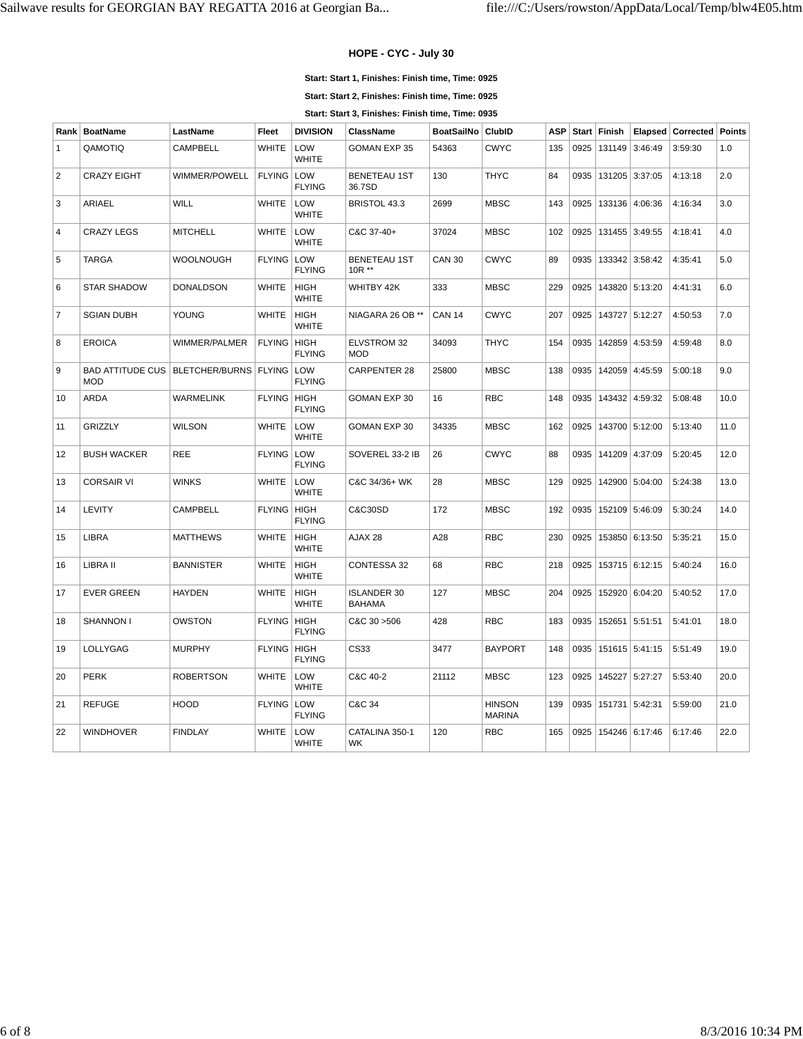## **HOPE - CYC - July 30**

**Start: Start 1, Finishes: Finish time, Time: 0925**

**Start: Start 2, Finishes: Finish time, Time: 0925**

**Start: Start 3, Finishes: Finish time, Time: 0935**

| Rank           | <b>BoatName</b>                                                | LastName         | <b>Fleet</b>  | <b>DIVISION</b>              | <b>ClassName</b>                    | BoatSailNo    | ClubID                         | <b>ASP</b> | <b>Start</b> | Finish |                | Elapsed   Corrected | <b>Points</b> |
|----------------|----------------------------------------------------------------|------------------|---------------|------------------------------|-------------------------------------|---------------|--------------------------------|------------|--------------|--------|----------------|---------------------|---------------|
| 1              | QAMOTIQ                                                        | <b>CAMPBELL</b>  | <b>WHITE</b>  | LOW<br><b>WHITE</b>          | <b>GOMAN EXP 35</b>                 | 54363         | <b>CWYC</b>                    | 135        | 0925         | 131149 | 3:46:49        | 3:59:30             | 1.0           |
| $\overline{2}$ | <b>CRAZY EIGHT</b>                                             | WIMMER/POWELL    | <b>FLYING</b> | LOW<br><b>FLYING</b>         | <b>BENETEAU 1ST</b><br>36.7SD       | 130           | <b>THYC</b>                    | 84         | 0935         | 131205 | 3:37:05        | 4:13:18             | 2.0           |
| 3              | ARIAEL                                                         | <b>WILL</b>      | <b>WHITE</b>  | LOW<br><b>WHITE</b>          | BRISTOL 43.3                        | 2699          | <b>MBSC</b>                    | 143        | 0925         |        | 133136 4:06:36 | 4:16:34             | 3.0           |
| 4              | <b>CRAZY LEGS</b>                                              | <b>MITCHELL</b>  | <b>WHITE</b>  | LOW<br><b>WHITE</b>          | C&C 37-40+                          | 37024         | <b>MBSC</b>                    | 102        | 0925         | 131455 | 3:49:55        | 4:18:41             | 4.0           |
| 5              | <b>TARGA</b>                                                   | <b>WOOLNOUGH</b> | FLYING LOW    | <b>FLYING</b>                | <b>BENETEAU 1ST</b><br>$10R**$      | <b>CAN 30</b> | <b>CWYC</b>                    | 89         | 0935         |        | 133342 3:58:42 | 4:35:41             | 5.0           |
| 6              | <b>STAR SHADOW</b>                                             | <b>DONALDSON</b> | <b>WHITE</b>  | <b>HIGH</b><br><b>WHITE</b>  | WHITBY 42K                          | 333           | <b>MBSC</b>                    | 229        | 0925         |        | 143820 5:13:20 | 4:41:31             | 6.0           |
| $\overline{7}$ | <b>SGIAN DUBH</b>                                              | <b>YOUNG</b>     | <b>WHITE</b>  | <b>HIGH</b><br><b>WHITE</b>  | NIAGARA 26 OB **                    | <b>CAN 14</b> | <b>CWYC</b>                    | 207        | 0925         | 143727 | 5:12:27        | 4:50:53             | 7.0           |
| 8              | <b>EROICA</b>                                                  | WIMMER/PALMER    | <b>FLYING</b> | <b>HIGH</b><br><b>FLYING</b> | ELVSTROM 32<br><b>MOD</b>           | 34093         | <b>THYC</b>                    | 154        | 0935         | 142859 | 4:53:59        | 4:59:48             | 8.0           |
| 9              | BAD ATTITUDE CUS   BLETCHER/BURNS   FLYING   LOW<br><b>MOD</b> |                  |               | <b>FLYING</b>                | CARPENTER 28                        | 25800         | <b>MBSC</b>                    | 138        | 0935         |        | 142059 4:45:59 | 5:00:18             | 9.0           |
| 10             | <b>ARDA</b>                                                    | <b>WARMELINK</b> | <b>FLYING</b> | HIGH<br><b>FLYING</b>        | GOMAN EXP 30                        | 16            | <b>RBC</b>                     | 148        | 0935         |        | 143432 4:59:32 | 5:08:48             | 10.0          |
| 11             | <b>GRIZZLY</b>                                                 | <b>WILSON</b>    | <b>WHITE</b>  | LOW<br><b>WHITE</b>          | <b>GOMAN EXP 30</b>                 | 34335         | <b>MBSC</b>                    | 162        | 0925         |        | 143700 5:12:00 | 5:13:40             | 11.0          |
| 12             | <b>BUSH WACKER</b>                                             | <b>REE</b>       | FLYING LOW    | <b>FLYING</b>                | SOVEREL 33-2 IB                     | 26            | <b>CWYC</b>                    | 88         | 0935         |        | 141209 4:37:09 | 5:20:45             | 12.0          |
| 13             | <b>CORSAIR VI</b>                                              | <b>WINKS</b>     | <b>WHITE</b>  | LOW<br><b>WHITE</b>          | C&C 34/36+ WK                       | 28            | <b>MBSC</b>                    | 129        | 0925         |        | 142900 5:04:00 | 5:24:38             | 13.0          |
| 14             | <b>LEVITY</b>                                                  | <b>CAMPBELL</b>  | FLYING   HIGH | <b>FLYING</b>                | C&C30SD                             | 172           | <b>MBSC</b>                    | 192        | 0935         |        | 152109 5:46:09 | 5:30:24             | 14.0          |
| 15             | <b>LIBRA</b>                                                   | <b>MATTHEWS</b>  | <b>WHITE</b>  | <b>HIGH</b><br><b>WHITE</b>  | AJAX 28                             | A28           | <b>RBC</b>                     | 230        | 0925         |        | 153850 6:13:50 | 5:35:21             | 15.0          |
| 16             | LIBRA II                                                       | <b>BANNISTER</b> | <b>WHITE</b>  | <b>HIGH</b><br><b>WHITE</b>  | CONTESSA 32                         | 68            | <b>RBC</b>                     | 218        | 0925         |        | 153715 6:12:15 | 5:40:24             | 16.0          |
| 17             | <b>EVER GREEN</b>                                              | <b>HAYDEN</b>    | <b>WHITE</b>  | <b>HIGH</b><br><b>WHITE</b>  | <b>ISLANDER 30</b><br><b>BAHAMA</b> | 127           | <b>MBSC</b>                    | 204        | 0925         | 152920 | 6:04:20        | 5:40:52             | 17.0          |
| 18             | <b>SHANNON I</b>                                               | <b>OWSTON</b>    | <b>FLYING</b> | HIGH<br><b>FLYING</b>        | C&C 30 > 506                        | 428           | <b>RBC</b>                     | 183        | 0935         |        | 152651 5:51:51 | 5:41:01             | 18.0          |
| 19             | LOLLYGAG                                                       | <b>MURPHY</b>    | <b>FLYING</b> | HIGH<br><b>FLYING</b>        | CS33                                | 3477          | <b>BAYPORT</b>                 | 148        | 0935         |        | 151615 5:41:15 | 5:51:49             | 19.0          |
| 20             | <b>PERK</b>                                                    | <b>ROBERTSON</b> | <b>WHITE</b>  | LOW<br><b>WHITE</b>          | C&C 40-2                            | 21112         | <b>MBSC</b>                    | 123        | 0925         | 145227 | 5:27:27        | 5:53:40             | 20.0          |
| 21             | <b>REFUGE</b>                                                  | <b>HOOD</b>      | FLYING LOW    | <b>FLYING</b>                | C&C 34                              |               | <b>HINSON</b><br><b>MARINA</b> | 139        | 0935         |        | 151731 5:42:31 | 5:59:00             | 21.0          |
| 22             | <b>WINDHOVER</b>                                               | <b>FINDLAY</b>   | <b>WHITE</b>  | LOW<br><b>WHITE</b>          | CATALINA 350-1<br>WK                | 120           | <b>RBC</b>                     | 165        | 0925         |        | 154246 6:17:46 | 6:17:46             | 22.0          |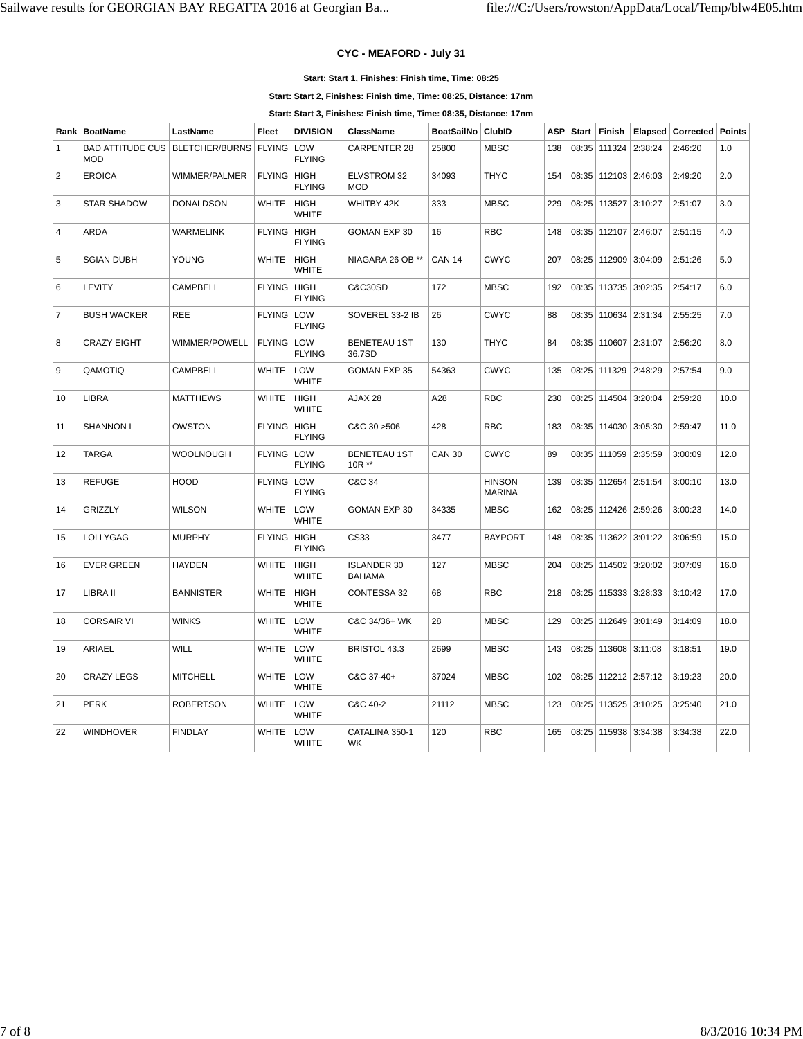## **CYC - MEAFORD - July 31**

#### **Start: Start 1, Finishes: Finish time, Time: 08:25**

**Start: Start 2, Finishes: Finish time, Time: 08:25, Distance: 17nm**

**Start: Start 3, Finishes: Finish time, Time: 08:35, Distance: 17nm**

| Rank           | <b>BoatName</b>                                                | LastName         | Fleet                | <b>DIVISION</b>             | <b>ClassName</b>                    | <b>BoatSailNo</b> | <b>ClubID</b>                  | <b>ASP</b> | <b>Start</b> | Finish                   | Elapsed        | <b>Corrected</b> | Points |
|----------------|----------------------------------------------------------------|------------------|----------------------|-----------------------------|-------------------------------------|-------------------|--------------------------------|------------|--------------|--------------------------|----------------|------------------|--------|
| $\mathbf{1}$   | BAD ATTITUDE CUS   BLETCHER/BURNS   FLYING   LOW<br><b>MOD</b> |                  |                      | <b>FLYING</b>               | <b>CARPENTER 28</b>                 | 25800             | <b>MBSC</b>                    | 138        | 08:35        | 111324                   | 2:38:24        | 2:46:20          | 1.0    |
| $\overline{2}$ | <b>EROICA</b>                                                  | WIMMER/PALMER    | <b>FLYING HIGH</b>   | <b>FLYING</b>               | <b>ELVSTROM 32</b><br><b>MOD</b>    | 34093             | <b>THYC</b>                    | 154        | 08:35        |                          | 112103 2:46:03 | 2:49:20          | 2.0    |
| 3              | <b>STAR SHADOW</b>                                             | <b>DONALDSON</b> | <b>WHITE</b>         | <b>HIGH</b><br>WHITE        | WHITBY 42K                          | 333               | <b>MBSC</b>                    | 229        | 08:25        | 113527 3:10:27           |                | 2:51:07          | 3.0    |
| 4              | ARDA                                                           | <b>WARMELINK</b> | <b>FLYING   HIGH</b> | <b>FLYING</b>               | GOMAN EXP 30                        | 16                | <b>RBC</b>                     | 148        | 08:35        | 112107 2:46:07           |                | 2:51:15          | 4.0    |
| 5              | <b>SGIAN DUBH</b>                                              | <b>YOUNG</b>     | <b>WHITE</b>         | <b>HIGH</b><br><b>WHITE</b> | NIAGARA 26 OB **                    | <b>CAN 14</b>     | <b>CWYC</b>                    | 207        | 08:25        |                          | 112909 3:04:09 | 2:51:26          | 5.0    |
| 6              | <b>LEVITY</b>                                                  | CAMPBELL         | FLYING   HIGH        | <b>FLYING</b>               | C&C30SD                             | 172               | <b>MBSC</b>                    | 192        |              | 08:35   113735   3:02:35 |                | 2:54:17          | 6.0    |
| $\overline{7}$ | <b>BUSH WACKER</b>                                             | REE              | FLYING LOW           | <b>FLYING</b>               | SOVEREL 33-2 IB                     | 26                | <b>CWYC</b>                    | 88         | 08:35        |                          | 110634 2:31:34 | 2:55:25          | 7.0    |
| 8              | <b>CRAZY EIGHT</b>                                             | WIMMER/POWELL    | FLYING LOW           | <b>FLYING</b>               | <b>BENETEAU 1ST</b><br>36.7SD       | 130               | <b>THYC</b>                    | 84         | 08:35        |                          | 110607 2:31:07 | 2:56:20          | 8.0    |
| 9              | QAMOTIQ                                                        | CAMPBELL         | <b>WHITE</b>         | LOW<br><b>WHITE</b>         | <b>GOMAN EXP 35</b>                 | 54363             | <b>CWYC</b>                    | 135        |              | 08:25   111329   2:48:29 |                | 2:57:54          | 9.0    |
| 10             | <b>LIBRA</b>                                                   | <b>MATTHEWS</b>  | <b>WHITE</b>         | <b>HIGH</b><br><b>WHITE</b> | AJAX 28                             | A28               | <b>RBC</b>                     | 230        | 08:25        |                          | 114504 3:20:04 | 2:59:28          | 10.0   |
| 11             | <b>SHANNON I</b>                                               | <b>OWSTON</b>    | FLYING HIGH          | <b>FLYING</b>               | C&C 30 > 506                        | 428               | <b>RBC</b>                     | 183        | 08:35        |                          | 114030 3:05:30 | 2:59:47          | 11.0   |
| 12             | <b>TARGA</b>                                                   | <b>WOOLNOUGH</b> | FLYING LOW           | <b>FLYING</b>               | <b>BENETEAU 1ST</b><br>$10R**$      | <b>CAN 30</b>     | <b>CWYC</b>                    | 89         | 08:35        |                          | 111059 2:35:59 | 3:00:09          | 12.0   |
| 13             | <b>REFUGE</b>                                                  | <b>HOOD</b>      | <b>FLYING LOW</b>    | <b>FLYING</b>               | C&C 34                              |                   | <b>HINSON</b><br><b>MARINA</b> | 139        | 08:35        |                          | 112654 2:51:54 | 3:00:10          | 13.0   |
| 14             | <b>GRIZZLY</b>                                                 | <b>WILSON</b>    | <b>WHITE</b>         | LOW<br><b>WHITE</b>         | <b>GOMAN EXP 30</b>                 | 34335             | <b>MBSC</b>                    | 162        | 08:25        | 112426 2:59:26           |                | 3:00:23          | 14.0   |
| 15             | LOLLYGAG                                                       | <b>MURPHY</b>    | <b>FLYING   HIGH</b> | <b>FLYING</b>               | CS33                                | 3477              | <b>BAYPORT</b>                 | 148        | 08:35        |                          | 113622 3:01:22 | 3:06:59          | 15.0   |
| 16             | <b>EVER GREEN</b>                                              | <b>HAYDEN</b>    | <b>WHITE</b>         | <b>HIGH</b><br>WHITE        | <b>ISLANDER 30</b><br><b>BAHAMA</b> | 127               | <b>MBSC</b>                    | 204        | 08:25        |                          | 114502 3:20:02 | 3:07:09          | 16.0   |
| 17             | LIBRA II                                                       | <b>BANNISTER</b> | <b>WHITE</b>         | <b>HIGH</b><br><b>WHITE</b> | <b>CONTESSA 32</b>                  | 68                | <b>RBC</b>                     | 218        | 08:25        |                          | 115333 3:28:33 | 3:10:42          | 17.0   |
| 18             | <b>CORSAIR VI</b>                                              | <b>WINKS</b>     | <b>WHITE</b>         | LOW<br><b>WHITE</b>         | C&C 34/36+ WK                       | 28                | <b>MBSC</b>                    | 129        | 08:25        | 112649 3:01:49           |                | 3:14:09          | 18.0   |
| 19             | <b>ARIAEL</b>                                                  | WILL             | <b>WHITE</b>         | LOW<br><b>WHITE</b>         | BRISTOL 43.3                        | 2699              | <b>MBSC</b>                    | 143        |              | 08:25   113608   3:11:08 |                | 3:18:51          | 19.0   |
| 20             | <b>CRAZY LEGS</b>                                              | <b>MITCHELL</b>  | <b>WHITE</b>         | LOW<br><b>WHITE</b>         | C&C 37-40+                          | 37024             | <b>MBSC</b>                    | 102        | 08:25        |                          | 112212 2:57:12 | 3:19:23          | 20.0   |
| 21             | <b>PERK</b>                                                    | <b>ROBERTSON</b> | <b>WHITE</b>         | LOW<br><b>WHITE</b>         | C&C 40-2                            | 21112             | <b>MBSC</b>                    | 123        |              | 08:25   113525   3:10:25 |                | 3:25:40          | 21.0   |
| 22             | <b>WINDHOVER</b>                                               | <b>FINDLAY</b>   | <b>WHITE</b>         | LOW<br><b>WHITE</b>         | CATALINA 350-1<br>WK                | 120               | <b>RBC</b>                     | 165        |              | 08:25   115938   3:34:38 |                | 3:34:38          | 22.0   |